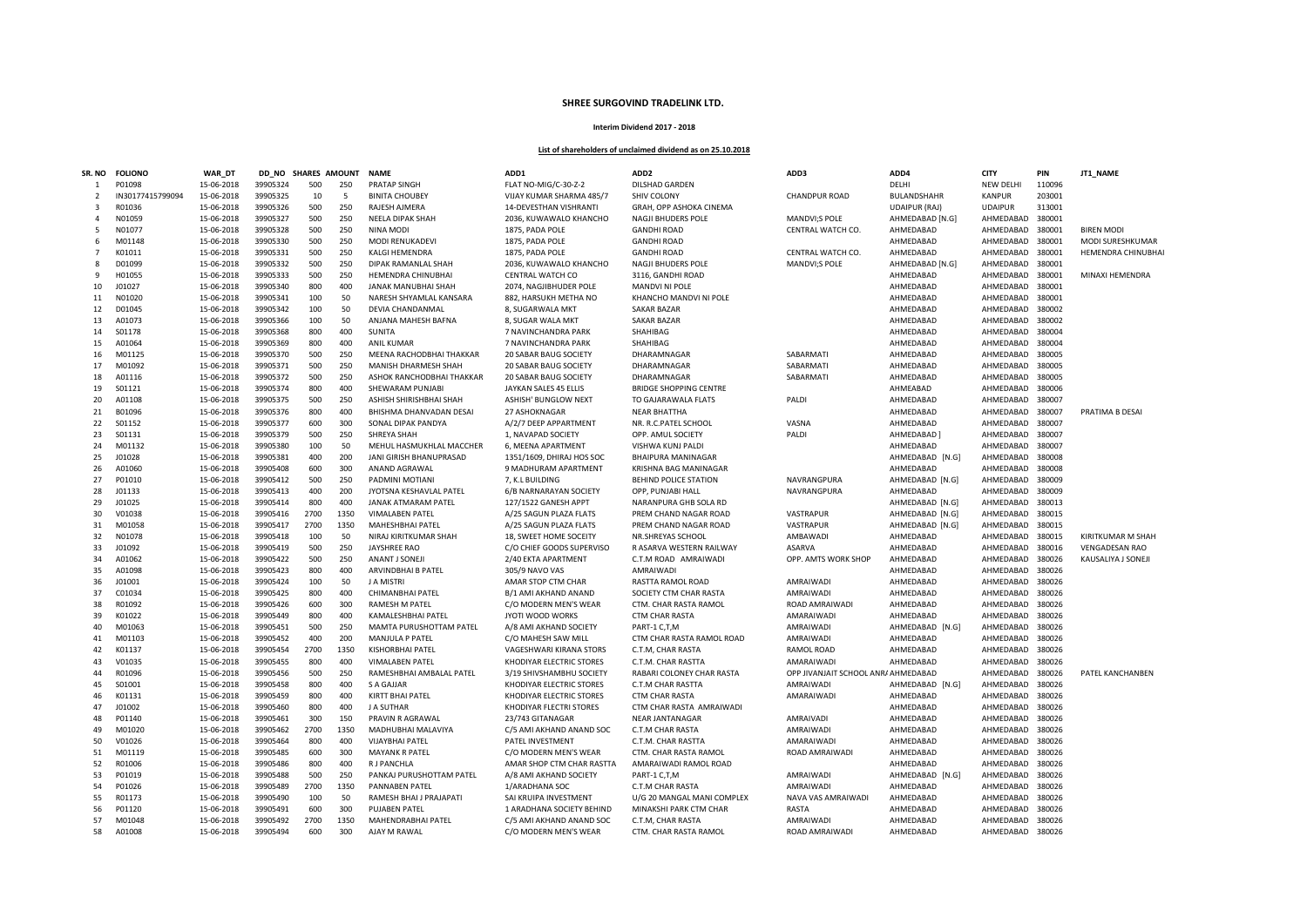## **SHREE SURGOVIND TRADELINK LTD.**

## **Interim Dividend 2017 - 2018**

## **List of shareholders of unclaimed dividend as on 25.10.2018**

| SR. NO         | <b>FOLIONO</b>   | <b>WAR DT</b> | DD NO    | <b>SHARES AMOUNT</b> |      | <b>NAME</b>                 | ADD1                         | ADD <sub>2</sub>              | ADD3                                | ADD4                 | <b>CITY</b>      | PIN    | JT1_NAME                  |
|----------------|------------------|---------------|----------|----------------------|------|-----------------------------|------------------------------|-------------------------------|-------------------------------------|----------------------|------------------|--------|---------------------------|
| -1             | P01098           | 15-06-2018    | 39905324 | 500                  | 250  | PRATAP SINGH                | FLAT NO-MIG/C-30-Z-2         | <b>DILSHAD GARDEN</b>         |                                     | DELHI                | NEW DELHI        | 110096 |                           |
| $\overline{2}$ | IN30177415799094 | 15-06-2018    | 39905325 | 10                   | 5    | <b>BINITA CHOUBEY</b>       | VIJAY KUMAR SHARMA 485/7     | SHIV COLONY                   | <b>CHANDPUR ROAD</b>                | BULANDSHAHR          | <b>KANPUR</b>    | 203001 |                           |
| 3              | R01036           | 15-06-2018    | 39905326 | 500                  | 250  | RAJESH AJMERA               | 14-DEVESTHAN VISHRANTI       | GRAH, OPP ASHOKA CINEMA       |                                     | <b>UDAIPUR (RAJ)</b> | <b>UDAIPUR</b>   | 313001 |                           |
| $\overline{a}$ | N01059           | 15-06-2018    | 39905327 | 500                  | 250  | <b>NEELA DIPAK SHAH</b>     | 2036, KUWAWALO KHANCHO       | <b>NAGJI BHUDERS POLE</b>     | MANDVI;S POLE                       | AHMEDABAD [N.G]      | AHMEDABAD        | 380001 |                           |
| -5             | N01077           | 15-06-2018    | 39905328 | 500                  | 250  | <b>NINA MODI</b>            | 1875, PADA POLE              | <b>GANDHI ROAD</b>            | CENTRAL WATCH CO.                   | AHMEDABAD            | AHMEDABAD        | 380001 | <b>BIREN MODI</b>         |
| 6              | M01148           | 15-06-2018    | 39905330 | 500                  | 250  | <b>MODI RENUKADEVI</b>      | 1875, PADA POLE              | <b>GANDHI ROAD</b>            |                                     | AHMEDABAD            | AHMEDABAD        | 380001 | MODI SURESHKUMAR          |
| 7              | K01011           | 15-06-2018    | 39905331 | 500                  | 250  | <b>KALGI HEMENDRA</b>       | 1875, PADA POLE              | <b>GANDHI ROAD</b>            | CENTRAL WATCH CO.                   | AHMEDABAD            | AHMEDABAD        | 380001 | <b>HEMENDRA CHINUBHAI</b> |
|                | D01099           |               | 39905332 | 500                  | 250  |                             |                              |                               |                                     |                      |                  | 380001 |                           |
| 8<br>q         |                  | 15-06-2018    |          |                      | 250  | DIPAK RAMANLAL SHAH         | 2036, KUWAWALO KHANCHO       | <b>NAGJI BHUDERS POLE</b>     | MANDVI;S POLE                       | AHMEDABAD [N.G]      | AHMEDABAD        |        |                           |
|                | H01055           | 15-06-2018    | 39905333 | 500                  |      | HEMENDRA CHINUBHAI          | CENTRAL WATCH CO             | 3116, GANDHI ROAD             |                                     | AHMEDABAD            | AHMEDABAD        | 380001 | MINAXI HEMENDRA           |
| 10             | J01027           | 15-06-2018    | 39905340 | 800                  | 400  | JANAK MANUBHAI SHAH         | 2074, NAGJIBHUDER POLE       | <b>MANDVI NI POLE</b>         |                                     | AHMEDABAD            | AHMEDABAD        | 380001 |                           |
| 11             | N01020           | 15-06-2018    | 39905341 | 100                  | 50   | NARESH SHYAMLAL KANSARA     | 882, HARSUKH METHA NO        | KHANCHO MANDVI NI POLE        |                                     | AHMEDABAD            | AHMEDABAD        | 380001 |                           |
| 12             | D01045           | 15-06-2018    | 39905342 | 100                  | 50   | DEVIA CHANDANMAL            | 8, SUGARWALA MKT             | <b>SAKAR BAZAR</b>            |                                     | AHMEDABAD            | AHMEDABAD        | 380002 |                           |
| 13             | A01073           | 15-06-2018    | 39905366 | 100                  | 50   | ANJANA MAHESH BAFNA         | 8, SUGAR WALA MKT            | <b>SAKAR BAZAR</b>            |                                     | AHMEDABAD            | AHMEDABAD        | 380002 |                           |
| 14             | S01178           | 15-06-2018    | 39905368 | 800                  | 400  | <b>SUNITA</b>               | 7 NAVINCHANDRA PARK          | SHAHIBAG                      |                                     | AHMEDABAD            | AHMEDABAD        | 380004 |                           |
| 15             | A01064           | 15-06-2018    | 39905369 | 800                  | 400  | <b>ANIL KUMAR</b>           | 7 NAVINCHANDRA PARK          | SHAHIBAG                      |                                     | AHMEDABAD            | AHMEDABAD        | 380004 |                           |
| 16             | M01125           | 15-06-2018    | 39905370 | 500                  | 250  | MEENA RACHODBHAI THAKKAR    | 20 SABAR BAUG SOCIETY        | DHARAMNAGAR                   | SABARMATI                           | AHMEDABAD            | AHMEDABAD        | 380005 |                           |
| 17             | M01092           | 15-06-2018    | 39905371 | 500                  | 250  | <b>MANISH DHARMESH SHAH</b> | <b>20 SABAR BAUG SOCIETY</b> | DHARAMNAGAR                   | SABARMATI                           | AHMEDABAD            | AHMEDABAD        | 380005 |                           |
| 18             | A01116           | 15-06-2018    | 39905372 | 500                  | 250  | ASHOK RANCHODBHAI THAKKAR   | 20 SABAR BAUG SOCIETY        | DHARAMNAGAR                   | SABARMATI                           | AHMEDABAD            | AHMEDABAD        | 380005 |                           |
| 19             | S01121           | 15-06-2018    | 39905374 | 800                  | 400  | SHEWARAM PUNJABI            | JAYKAN SALES 45 ELLIS        | <b>BRIDGE SHOPPING CENTRE</b> |                                     | AHMEABAD             | AHMEDABAD        | 380006 |                           |
| 20             | A01108           | 15-06-2018    | 39905375 | 500                  | 250  | ASHISH SHIRISHBHAI SHAH     | <b>ASHISH' BUNGLOW NEXT</b>  | TO GAJARAWALA FLATS           | PALDI                               | AHMEDABAD            | AHMEDABAD        | 380007 |                           |
| 21             | B01096           | 15-06-2018    | 39905376 | 800                  | 400  | BHISHMA DHANVADAN DESAI     | 27 ASHOKNAGAR                | <b>NEAR BHATTHA</b>           |                                     | AHMEDABAD            | AHMEDABAD        | 380007 | PRATIMA B DESAI           |
| 22             | S01152           | 15-06-2018    | 39905377 | 600                  | 300  | SONAL DIPAK PANDYA          | A/2/7 DEEP APPARTMENT        | NR. R.C.PATEL SCHOOL          | VASNA                               | AHMEDABAD            | AHMEDABAD 380007 |        |                           |
| 23             | S01131           | 15-06-2018    | 39905379 | 500                  | 250  | SHREYA SHAH                 | 1, NAVAPAD SOCIETY           | OPP. AMUL SOCIETY             | PALDI                               | AHMEDABAD            | AHMEDABAD        | 380007 |                           |
| 24             | M01132           | 15-06-2018    | 39905380 | 100                  | 50   | MEHUL HASMUKHLAL MACCHER    | 6, MEENA APARTMENT           | VISHWA KUNJ PALDI             |                                     | AHMEDABAD            | AHMEDABAD        | 380007 |                           |
| 25             | J01028           | 15-06-2018    | 39905381 | 400                  | 200  | JANI GIRISH BHANUPRASAD     | 1351/1609, DHIRAJ HOS SOC    | BHAIPURA MANINAGAR            |                                     | AHMEDABAD [N.G]      | AHMEDABAD        | 380008 |                           |
| 26             | A01060           | 15-06-2018    | 39905408 | 600                  | 300  | ANAND AGRAWAL               | 9 MADHURAM APARTMENT         | KRISHNA BAG MANINAGAR         |                                     | AHMEDABAD            | AHMEDABAD        | 380008 |                           |
| 27             | P01010           | 15-06-2018    | 39905412 | 500                  | 250  | PADMINI MOTIANI             | 7, K.L BUILDING              | <b>BEHIND POLICE STATION</b>  | NAVRANGPURA                         | AHMEDABAD [N.G]      | AHMEDABAD        | 380009 |                           |
| 28             | J01133           | 15-06-2018    | 39905413 | 400                  | 200  | JYOTSNA KESHAVLAL PATEL     | 6/B NARNARAYAN SOCIETY       | OPP, PUNJABI HALL             | NAVRANGPURA                         | AHMEDABAD            | AHMEDABAD        | 380009 |                           |
| 29             | J01025           | 15-06-2018    | 39905414 | 800                  | 400  | <b>JANAK ATMARAM PATEL</b>  | 127/1522 GANESH APPT         | NARANPURA GHB SOLA RD         |                                     | AHMEDABAD [N.G]      | AHMEDABAD        | 380013 |                           |
|                | V01038           |               |          | 2700                 | 1350 |                             |                              |                               |                                     |                      |                  |        |                           |
| 30             |                  | 15-06-2018    | 39905416 |                      |      | <b>VIMALABEN PATEL</b>      | A/25 SAGUN PLAZA FLATS       | PREM CHAND NAGAR ROAD         | VASTRAPUR                           | AHMEDABAD [N.G]      | AHMEDABAD        | 380015 |                           |
| 31             | M01058           | 15-06-2018    | 39905417 | 2700                 | 1350 | MAHESHBHAI PATEL            | A/25 SAGUN PLAZA FLATS       | PREM CHAND NAGAR ROAD         | VASTRAPUR                           | AHMEDABAD [N.G]      | AHMEDABAD        | 380015 |                           |
| 32             | N01078           | 15-06-2018    | 39905418 | 100                  | 50   | NIRAJ KIRITKUMAR SHAH       | 18. SWEET HOME SOCEITY       | NR.SHREYAS SCHOOL             | AMBAWADI                            | AHMEDABAD            | AHMEDABAD        | 380015 | KIRITKUMAR M SHAH         |
| 33             | J01092           | 15-06-2018    | 39905419 | 500                  | 250  | <b>JAYSHREE RAO</b>         | C/O CHIEF GOODS SUPERVISO    | R ASARVA WESTERN RAILWAY      | ASARVA                              | AHMEDABAD            | AHMEDABAD        | 380016 | <b>VENGADESAN RAO</b>     |
| 34             | A01062           | 15-06-2018    | 39905422 | 500                  | 250  | ANANT J SONEJI              | 2/40 EKTA APARTMENT          | C.T.M ROAD AMRAIWADI          | OPP. AMTS WORK SHOP                 | AHMEDABAD            | AHMEDABAD        | 380026 | KAUSALIYA J SONEJI        |
| 35             | A01098           | 15-06-2018    | 39905423 | 800                  | 400  | <b>ARVINDBHAI B PATEL</b>   | 305/9 NAVO VAS               | AMRAIWADI                     |                                     | AHMEDABAD            | AHMEDABAD        | 380026 |                           |
| 36             | J01001           | 15-06-2018    | 39905424 | 100                  | 50   | J A MISTRI                  | AMAR STOP CTM CHAR           | RASTTA RAMOL ROAD             | AMRAIWADI                           | AHMEDABAD            | AHMEDABAD        | 380026 |                           |
| 37             | C01034           | 15-06-2018    | 39905425 | 800                  | 400  | CHIMANBHAI PATEL            | B/1 AMI AKHAND ANAND         | SOCIETY CTM CHAR RASTA        | AMRAIWADI                           | AHMEDABAD            | AHMEDABAD        | 380026 |                           |
| 38             | R01092           | 15-06-2018    | 39905426 | 600                  | 300  | <b>RAMESH M PATEL</b>       | C/O MODERN MEN'S WEAR        | CTM. CHAR RASTA RAMOL         | ROAD AMRAIWADI                      | AHMEDABAD            | AHMEDABAD        | 380026 |                           |
| 39             | K01022           | 15-06-2018    | 39905449 | 800                  | 400  | KAMALESHBHAI PATEL          | JYOTI WOOD WORKS             | <b>CTM CHAR RASTA</b>         | AMARAIWAD                           | AHMEDABAD            | AHMEDABAD        | 380026 |                           |
| 40             | M01063           | 15-06-2018    | 39905451 | 500                  | 250  | MAMTA PURUSHOTTAM PATEL     | A/8 AMI AKHAND SOCIETY       | PART-1 C,T,M                  | AMRAIWADI                           | AHMEDABAD [N.G]      | AHMEDABAD        | 380026 |                           |
| 41             | M01103           | 15-06-2018    | 39905452 | 400                  | 200  | MANJULA P PATEL             | C/O MAHESH SAW MILL          | CTM CHAR RASTA RAMOL ROAD     | AMRAIWADI                           | AHMEDABAD            | AHMEDABAD        | 380026 |                           |
| 42             | K01137           | 15-06-2018    | 39905454 | 2700                 | 1350 | KISHORBHAI PATEL            | VAGESHWARI KIRANA STORS      | C.T.M, CHAR RASTA             | RAMOL ROAD                          | AHMEDABAD            | AHMEDABAD        | 380026 |                           |
| 43             | V01035           | 15-06-2018    | 39905455 | 800                  | 400  | <b>VIMALABEN PATEL</b>      | KHODIYAR ELECTRIC STORES     | C.T.M. CHAR RASTTA            | AMARAIWAD                           | AHMEDABAD            | AHMEDABAD        | 380026 |                           |
| 44             | R01096           | 15-06-2018    | 39905456 | 500                  | 250  | RAMESHBHAI AMBALAL PATEL    | 3/19 SHIVSHAMBHU SOCIETY     | RABARI COLONEY CHAR RASTA     | OPP JIVANJAIT SCHOOL ANR/ AHMEDABAD |                      | AHMEDABAD        | 380026 | PATEL KANCHANBEN          |
| 45             | S01001           | 15-06-2018    | 39905458 | 800                  | 400  | S A GAJJAR                  | KHODIYAR ELECTRIC STORES     | C.T.M CHAR RASTTA             | AMRAIWADI                           | AHMEDABAD [N.G]      | AHMEDABAD        | 380026 |                           |
| 46             | K01131           | 15-06-2018    | 39905459 | 800                  | 400  | KIRTT BHAI PATEL            | KHODIYAR ELECTRIC STORES     | <b>CTM CHAR RASTA</b>         | AMARAIWAD                           | AHMEDABAD            | AHMEDABAD        | 380026 |                           |
| 47             | J01002           | 15-06-2018    | 39905460 | 800                  | 400  | J A SUTHAR                  | KHODIYAR FLECTRI STORES      | CTM CHAR RASTA AMRAIWADI      |                                     | AHMEDABAD            | AHMEDABAD        | 380026 |                           |
| 48             | P01140           | 15-06-2018    | 39905461 | 300                  | 150  | PRAVIN R AGRAWAL            | 23/743 GITANAGAR             | <b>NEAR JANTANAGAR</b>        | AMRAIVADI                           | AHMEDABAD            | AHMEDABAD        | 380026 |                           |
| 49             | M01020           | 15-06-2018    | 39905462 | 2700                 | 1350 | MADHUBHAI MALAVIYA          | C/5 AMI AKHAND ANAND SOC     | C.T.M CHAR RASTA              | AMRAIWADI                           | AHMEDABAD            | AHMEDABAD        | 380026 |                           |
| 50             | V01026           | 15-06-2018    | 39905464 | 800                  | 400  | <b>VIJAYBHAI PATEL</b>      | PATEL INVESTMENT             | C.T.M. CHAR RASTTA            | AMARAIWAD                           | AHMEDABAD            | AHMEDABAD        | 380026 |                           |
| 51             | M01119           | 15-06-2018    | 39905485 | 600                  | 300  | <b>MAYANK R PATEL</b>       | C/O MODERN MEN'S WEAR        | CTM. CHAR RASTA RAMOL         | ROAD AMRAIWADI                      | AHMEDABAD            | AHMEDABAD        | 380026 |                           |
| 52             | R01006           | 15-06-2018    | 39905486 | 800                  | 400  | R J PANCHLA                 | AMAR SHOP CTM CHAR RASTTA    | AMARAIWADI RAMOL ROAD         |                                     | AHMEDABAD            | AHMEDABAD        | 380026 |                           |
| 53             | P01019           | 15-06-2018    | 39905488 | 500                  | 250  | PANKAJ PURUSHOTTAM PATEL    | A/8 AMI AKHAND SOCIETY       | PART-1 C.T.M                  | <b>AMRAIWADI</b>                    |                      | AHMEDABAD        | 380026 |                           |
|                |                  |               |          |                      |      |                             |                              |                               |                                     | AHMEDABAD [N.G]      |                  |        |                           |
| 54             | P01026           | 15-06-2018    | 39905489 | 2700                 | 1350 | PANNABEN PATEL              | 1/ARADHANA SOC               | C.T.M CHAR RASTA              | AMRAIWADI                           | AHMEDABAD            | AHMEDABAD        | 380026 |                           |
| 55             | R01173           | 15-06-2018    | 39905490 | 100                  | 50   | RAMESH BHAI J PRAJAPATI     | SAI KRUIPA INVESTMENT        | U/G 20 MANGAL MANI COMPLEX    | NAVA VAS AMRAIWADI                  | AHMEDABAD            | AHMEDABAD        | 380026 |                           |
| 56             | P01120           | 15-06-2018    | 39905491 | 600                  | 300  | <b>PUJABEN PATEL</b>        | 1 ARADHANA SOCIETY BEHIND    | MINAKSHI PARK CTM CHAR        | RASTA                               | AHMEDABAD            | AHMEDABAD        | 380026 |                           |
| 57             | M01048           | 15-06-2018    | 39905492 | 2700                 | 1350 | <b>MAHENDRABHAI PATEL</b>   | C/5 AMI AKHAND ANAND SOC     | C.T.M. CHAR RASTA             | AMRAIWADI                           | AHMEDABAD            | AHMEDABAD        | 380026 |                           |
| 58             | A01008           | 15-06-2018    | 39905494 | 600                  | 300  | AJAY M RAWAL                | C/O MODERN MEN'S WEAR        | CTM. CHAR RASTA RAMOL         | ROAD AMRAIWADI                      | AHMEDABAD            | AHMEDABAD 380026 |        |                           |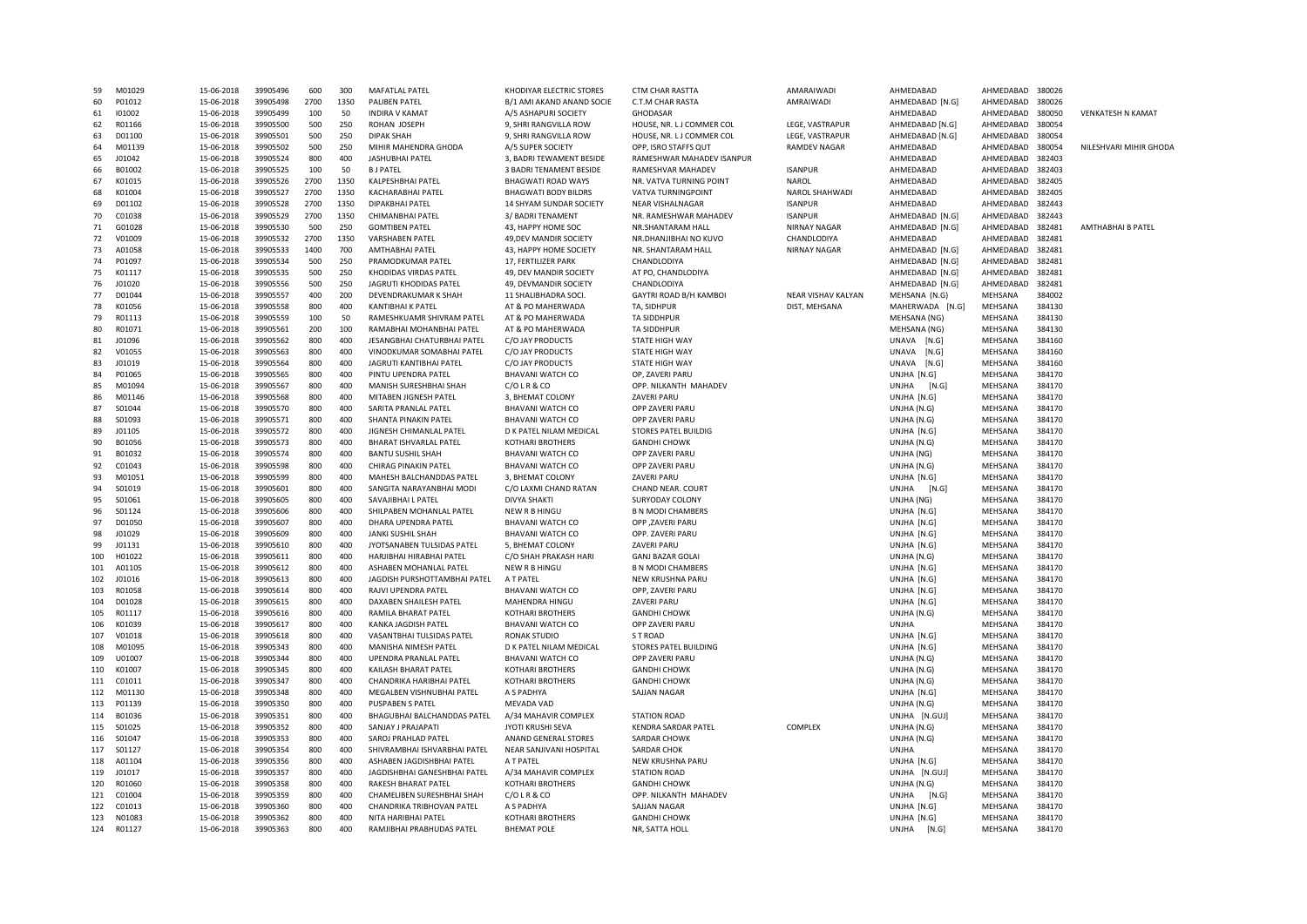| 59  | M01029 | 15-06-2018 | 39905496 | 600  | 300  | MAFATLAL PATFI                 | KHODIYAR FLECTRIC STORES    | <b>CTM CHAR RASTTA</b>       | AMARAIWADI          | AHMFDABAD       | AHMFDARAD | 380026 |                          |
|-----|--------|------------|----------|------|------|--------------------------------|-----------------------------|------------------------------|---------------------|-----------------|-----------|--------|--------------------------|
| 60  | P01012 | 15-06-2018 | 39905498 | 2700 | 1350 | PALIBEN PATEL                  | B/1 AMI AKAND ANAND SOCIE   | C.T.M CHAR RASTA             | AMRAIWADI           | AHMEDABAD [N.G] | AHMEDABAD | 380026 |                          |
| 61  | 101002 | 15-06-2018 | 39905499 | 100  | 50   | <b>INDIRA V KAMAT</b>          | A/5 ASHAPURI SOCIETY        | <b>GHODASAR</b>              |                     | AHMEDABAD       | AHMEDABAD | 380050 | <b>VENKATESH N KAMAT</b> |
| 62  | R01166 | 15-06-2018 | 39905500 | 500  | 250  | ROHAN JOSEPH                   | 9, SHRI RANGVILLA ROW       | HOUSE, NR. LJ COMMER COL     | LEGE, VASTRAPUR     | AHMEDABAD [N.G] | AHMEDABAD | 380054 |                          |
| 63  | D01100 | 15-06-2018 | 39905501 | 500  | 250  | <b>DIPAK SHAH</b>              | 9, SHRI RANGVILLA ROW       | HOUSE, NR. LJ COMMER COL     | LEGE, VASTRAPUR     | AHMEDABAD [N.G] | AHMEDABAD | 380054 |                          |
| 64  | M01139 | 15-06-2018 | 39905502 | 500  | 250  | MIHIR MAHENDRA GHODA           | A/5 SUPER SOCIETY           | OPP. ISRO STAFFS QUT         | <b>RAMDEV NAGAR</b> | AHMEDABAD       | AHMEDABAD | 380054 | NILESHVARI MIHIR GHODA   |
| 65  | 101042 | 15-06-2018 | 39905524 | 800  | 400  | JASHUBHAI PATEL                | 3, BADRI TEWAMENT BESIDE    | RAMESHWAR MAHADEV ISANPUR    |                     | AHMEDABAD       | AHMEDABAD | 382403 |                          |
| 66  | B01002 | 15-06-2018 | 39905525 | 100  | 50   | <b>BJ PATEL</b>                | 3 BADRI TENAMENT BESIDE     | RAMESHVAR MAHADEV            | <b>ISANPUR</b>      | AHMEDABAD       | AHMEDABAD | 382403 |                          |
| 67  | K01015 | 15-06-2018 | 39905526 | 2700 | 1350 | KALPESHBHAI PATEL              | <b>BHAGWATI ROAD WAYS</b>   | NR. VATVA TURNING POINT      | <b>NAROL</b>        | AHMEDABAD       | AHMEDABAD | 382405 |                          |
| 68  | K01004 | 15-06-2018 | 39905527 | 2700 | 1350 | KACHARABHAI PATEL              | <b>BHAGWATI BODY BILDRS</b> | VATVA TURNINGPOINT           | NAROL SHAHWADI      | AHMEDABAD       | AHMEDABAD | 382405 |                          |
| 69  | D01102 | 15-06-2018 | 39905528 | 2700 | 1350 | DIPAKBHAI PATEL                | 14 SHYAM SUNDAR SOCIETY     | <b>NEAR VISHALNAGAR</b>      | <b>ISANPUR</b>      | AHMEDABAD       | AHMEDABAD | 382443 |                          |
| 70  | C01038 | 15-06-2018 | 39905529 | 2700 | 1350 | CHIMANBHAI PATEL               | 3/ BADRI TENAMENT           | NR. RAMESHWAR MAHADEV        | <b>ISANPUR</b>      | AHMEDABAD [N.G] | AHMEDABAD | 382443 |                          |
| 71  | G01028 | 15-06-2018 | 39905530 | 500  | 250  | <b>GOMTIBEN PATEL</b>          | 43, HAPPY HOME SOC          | NR.SHANTARAM HALL            | <b>NIRNAY NAGAR</b> | AHMEDABAD [N.G] | AHMEDABAD | 382481 | <b>AMTHABHAI B PATEI</b> |
| 72  | V01009 | 15-06-2018 | 39905532 | 2700 | 1350 | <b>VARSHABEN PATEL</b>         | 49, DEV MANDIR SOCIETY      | NR.DHANJIBHAI NO KUVO        | CHANDLODIYA         | AHMFDABAD       | AHMEDABAD | 382481 |                          |
| 73  | A01058 | 15-06-2018 | 39905533 | 1400 | 700  | <b>AMTHABHAI PATEL</b>         | 43, HAPPY HOME SOCIETY      | NR. SHANTARAM HALL           | NIRNAY NAGAR        | AHMEDABAD [N.G] | AHMEDABAD | 382481 |                          |
| 74  | P01097 | 15-06-2018 | 39905534 | 500  | 250  | PRAMODKUMAR PATEL              | 17, FERTILIZER PARK         | CHANDLODIYA                  |                     | AHMEDABAD [N.G] | AHMEDABAD | 382481 |                          |
|     |        |            |          |      |      |                                |                             |                              |                     |                 |           |        |                          |
| 75  | K01117 | 15-06-2018 | 39905535 | 500  | 250  | KHODIDAS VIRDAS PATEL          | 49, DEV MANDIR SOCIETY      | AT PO, CHANDLODIYA           |                     | AHMEDABAD [N.G] | AHMEDABAD | 382481 |                          |
| 76  | J01020 | 15-06-2018 | 39905556 | 500  | 250  | JAGRUTI KHODIDAS PATEL         | 49, DEVMANDIR SOCIETY       | CHANDLODIYA                  |                     | AHMEDABAD [N.G] | AHMEDABAD | 382481 |                          |
| 77  | D01044 | 15-06-2018 | 39905557 | 400  | 200  | DEVENDRAKUMAR K SHAH           | 11 SHALIBHADRA SOCI.        | GAYTRI ROAD B/H KAMBOI       | NEAR VISHAV KALYAN  | MEHSANA (N.G)   | MEHSANA   | 384002 |                          |
| 78  | K01056 | 15-06-2018 | 39905558 | 800  | 400  | KANTIBHAI K PATEL              | AT & PO MAHERWADA           | TA, SIDHPUR                  | DIST, MEHSANA       | MAHERWADA [N.G] | MEHSANA   | 384130 |                          |
| 79  | R01113 | 15-06-2018 | 39905559 | 100  | 50   | RAMESHKUAMR SHIVRAM PATEL      | AT & PO MAHERWADA           | <b>TA SIDDHPUR</b>           |                     | MEHSANA (NG)    | MEHSANA   | 384130 |                          |
| 80  | R01071 | 15-06-2018 | 39905561 | 200  | 100  | RAMABHAI MOHANBHAI PATEL       | AT & PO MAHERWADA           | <b>TA SIDDHPUR</b>           |                     | MEHSANA (NG)    | MEHSANA   | 384130 |                          |
| 81  | J01096 | 15-06-2018 | 39905562 | 800  | 400  | JESANGBHAI CHATURBHAI PATEL    | C/O JAY PRODUCTS            | STATE HIGH WAY               |                     | UNAVA<br>[N.G]  | MEHSANA   | 384160 |                          |
| 82  | V01055 | 15-06-2018 | 39905563 | 800  | 400  | VINODKUMAR SOMABHAI PATEL      | C/O JAY PRODUCTS            | STATE HIGH WAY               |                     | [N.G]<br>UNAVA  | MEHSANA   | 384160 |                          |
| 83  | J01019 | 15-06-2018 | 39905564 | 800  | 400  | <b>JAGRUTI KANTIBHAI PATEL</b> | C/O JAY PRODUCTS            | <b>STATE HIGH WAY</b>        |                     | UNAVA<br>[N.G]  | MEHSANA   | 384160 |                          |
| 84  | P01065 | 15-06-2018 | 39905565 | 800  | 400  | PINTU UPENDRA PATEL            | <b>BHAVANI WATCH CO</b>     | OP, ZAVERI PARU              |                     | UNJHA [N.G]     | MEHSANA   | 384170 |                          |
| 85  | M01094 | 15-06-2018 | 39905567 | 800  | 400  | MANISH SURESHBHAI SHAH         | C/OLR&CO                    | OPP. NILKANTH MAHADEV        |                     | UNJHA<br>[N.G]  | MEHSANA   | 384170 |                          |
| 86  | M01146 | 15-06-2018 | 39905568 | 800  | 400  | MITABEN JIGNESH PATEL          | 3, BHEMAT COLONY            | ZAVERI PARU                  |                     | UNJHA [N.G]     | MEHSANA   | 384170 |                          |
| 87  | S01044 | 15-06-2018 | 39905570 | 800  | 400  | SARITA PRANLAL PATEL           | <b>BHAVANI WATCH CO</b>     | OPP ZAVERI PARU              |                     | UNJHA (N.G)     | MEHSANA   | 384170 |                          |
| 88  | S01093 | 15-06-2018 | 39905571 | 800  | 400  | SHANTA PINAKIN PATEL           | <b>BHAVANI WATCH CO</b>     | OPP ZAVERI PARU              |                     | UNJHA (N.G)     | MEHSANA   | 384170 |                          |
| 89  | J01105 | 15-06-2018 | 39905572 | 800  | 400  | JIGNESH CHIMANLAL PATEL        | D K PATEL NILAM MEDICAL     | <b>STORES PATEL BUILDIG</b>  |                     | UNJHA [N.G]     | MEHSANA   | 384170 |                          |
| 90  | B01056 | 15-06-2018 | 39905573 | 800  | 400  | BHARAT ISHVARLAL PATEL         | <b>KOTHARI BROTHERS</b>     | <b>GANDHI CHOWK</b>          |                     | UNJHA (N.G)     | MEHSANA   | 384170 |                          |
| 91  | B01032 | 15-06-2018 | 39905574 | 800  | 400  | <b>BANTU SUSHIL SHAH</b>       | <b>BHAVANI WATCH CO</b>     | OPP ZAVERI PARU              |                     |                 | MEHSANA   | 384170 |                          |
|     |        |            |          |      |      |                                |                             |                              |                     | UNJHA (NG)      |           |        |                          |
| 92  | C01043 | 15-06-2018 | 39905598 | 800  | 400  | CHIRAG PINAKIN PATEL           | <b>BHAVANI WATCH CO</b>     | OPP ZAVERI PARU              |                     | UNJHA (N.G)     | MEHSANA   | 384170 |                          |
| 93  | M01051 | 15-06-2018 | 39905599 | 800  | 400  | MAHESH BALCHANDDAS PATEL       | 3, BHEMAT COLONY            | <b>ZAVERI PARU</b>           |                     | UNJHA [N.G]     | MEHSANA   | 384170 |                          |
| 94  | S01019 | 15-06-2018 | 39905601 | 800  | 400  | SANGITA NARAYANBHAI MODI       | C/O LAXMI CHAND RATAN       | <b>CHAND NEAR, COURT</b>     |                     | UNJHA<br>[N.G]  | MEHSANA   | 384170 |                          |
| 95  | S01061 | 15-06-2018 | 39905605 | 800  | 400  | SAVAJIBHAI L PATEL             | DIVYA SHAKTI                | SURYODAY COLONY              |                     | UNJHA (NG)      | MEHSANA   | 384170 |                          |
| 96  | S01124 | 15-06-2018 | 39905606 | 800  | 400  | SHILPABEN MOHANLAL PATEL       | NEW R B HINGU               | <b>B N MODI CHAMBERS</b>     |                     | UNJHA [N.G]     | MEHSANA   | 384170 |                          |
| 97  | D01050 | 15-06-2018 | 39905607 | 800  | 400  | DHARA UPENDRA PATEL            | BHAVANI WATCH CO            | OPP ,ZAVERI PARU             |                     | UNJHA [N.G]     | MEHSANA   | 384170 |                          |
| 98  | J01029 | 15-06-2018 | 39905609 | 800  | 400  | JANKI SUSHIL SHAH              | BHAVANI WATCH CC            | OPP. ZAVERI PARU             |                     | UNJHA [N.G]     | MEHSANA   | 384170 |                          |
| 99  | J01131 | 15-06-2018 | 39905610 | 800  | 400  | JYOTSANABEN TULSIDAS PATEL     | 5, BHEMAT COLONY            | ZAVERI PARU                  |                     | UNJHA [N.G]     | MEHSANA   | 384170 |                          |
| 100 | H01022 | 15-06-2018 | 39905611 | 800  | 400  | HARJIBHAI HIRABHAI PATFL       | C/O SHAH PRAKASH HARI       | <b>GANJ BAZAR GOLAI</b>      |                     | UNJHA (N.G)     | MEHSANA   | 384170 |                          |
| 101 | A01105 | 15-06-2018 | 39905612 | 800  | 400  | ASHABEN MOHANLAL PATEL         | NEW R B HINGU               | <b>B N MODI CHAMBERS</b>     |                     | UNJHA [N.G]     | MEHSANA   | 384170 |                          |
| 102 | 101016 | 15-06-2018 | 39905613 | 800  | 400  | JAGDISH PURSHOTTAMBHAI PATEL   | A T PATFI                   | NEW KRUSHNA PARU             |                     | UNJHA [N.G]     | MEHSANA   | 384170 |                          |
| 103 | R01058 | 15-06-2018 | 39905614 | 800  | 400  | RAJVI UPENDRA PATEL            | <b>BHAVANI WATCH CO</b>     | OPP, ZAVERI PARU             |                     | UNJHA [N.G]     | MEHSANA   | 384170 |                          |
| 104 | D01028 | 15-06-2018 | 39905615 | 800  | 400  | DAXABEN SHAILESH PATEL         | MAHENDRA HINGU              | ZAVERI PARU                  |                     | UNJHA [N.G]     | MEHSANA   | 384170 |                          |
| 105 | R01117 | 15-06-2018 | 39905616 | 800  | 400  | RAMILA BHARAT PATEL            | <b>KOTHARI BROTHERS</b>     | <b>GANDHI CHOWK</b>          |                     | UNJHA (N.G)     | MEHSANA   | 384170 |                          |
| 106 | K01039 | 15-06-2018 | 39905617 | 800  | 400  | KANKA JAGDISH PATEL            | <b>BHAVANI WATCH CO</b>     | OPP ZAVERI PARU              |                     | <b>UNJHA</b>    | MEHSANA   | 384170 |                          |
| 107 | V01018 | 15-06-2018 | 39905618 | 800  | 400  | VASANTBHAI TULSIDAS PATEL      | <b>RONAK STUDIO</b>         | S T ROAD                     |                     | UNJHA [N.G]     | MEHSANA   | 384170 |                          |
| 108 | M01095 | 15-06-2018 | 39905343 | 800  | 400  | MANISHA NIMESH PATEL           | D K PATEL NILAM MEDICAL     | <b>STORES PATEL BUILDING</b> |                     | UNJHA [N.G]     | MEHSANA   | 384170 |                          |
| 109 | U01007 | 15-06-2018 | 39905344 | 800  | 400  | UPENDRA PRANLAL PATEL          | <b>BHAVANI WATCH CO</b>     | OPP ZAVERI PARU              |                     | UNJHA (N.G)     | MEHSANA   | 384170 |                          |
| 110 | K01007 | 15-06-2018 | 39905345 | 800  | 400  | KAILASH BHARAT PATEL           | <b>KOTHARI BROTHERS</b>     | <b>GANDHI CHOWK</b>          |                     | UNJHA (N.G)     | MEHSANA   | 384170 |                          |
| 111 | C01011 | 15-06-2018 | 39905347 | 800  | 400  | CHANDRIKA HARIBHAI PATEL       | <b>KOTHARI BROTHERS</b>     | <b>GANDHI CHOWK</b>          |                     | UNJHA (N.G)     | MEHSANA   | 384170 |                          |
| 112 | M01130 | 15-06-2018 | 39905348 | 800  | 400  | MEGALBEN VISHNUBHAI PATEL      | A S PADHYA                  | SAJJAN NAGAR                 |                     | UNJHA [N.G]     | MEHSANA   | 384170 |                          |
| 113 | P01139 | 15-06-2018 | 39905350 | 800  | 400  | PUSPABEN S PATEL               | MEVADA VAD                  |                              |                     | UNJHA (N.G)     | MEHSANA   | 384170 |                          |
|     | B01036 |            |          | 800  | 400  |                                |                             |                              |                     |                 |           | 384170 |                          |
| 114 |        | 15-06-2018 | 39905351 |      |      | BHAGUBHAI BALCHANDDAS PATEL    | A/34 MAHAVIR COMPLEX        | STATION ROAD                 |                     | UNJHA [N.GUJ]   | MEHSANA   |        |                          |
| 115 | S01025 | 15-06-2018 | 39905352 | 800  | 400  | SANJAY J PRAJAPATI             | JYOTI KRUSHI SEVA           | KENDRA SARDAR PATEL          | COMPLEX             | UNJHA (N.G)     | MEHSANA   | 384170 |                          |
| 116 | S01047 | 15-06-2018 | 39905353 | 800  | 400  | SAROJ PRAHLAD PATEL            | ANAND GENERAL STORES        | <b>SARDAR CHOWK</b>          |                     | UNJHA (N.G)     | MEHSANA   | 384170 |                          |
| 117 | S01127 | 15-06-2018 | 39905354 | 800  | 400  | SHIVRAMBHAI ISHVARBHAI PATEL   | NEAR SANJIVANI HOSPITAL     | <b>SARDAR CHOK</b>           |                     | UNJHA           | MEHSANA   | 384170 |                          |
| 118 | A01104 | 15-06-2018 | 39905356 | 800  | 400  | ASHABEN JAGDISHBHAI PATEL      | A T PATEL                   | NEW KRUSHNA PARU             |                     | UNJHA [N.G]     | MEHSANA   | 384170 |                          |
| 119 | J01017 | 15-06-2018 | 39905357 | 800  | 400  | JAGDISHBHAI GANESHBHAI PATEL   | A/34 MAHAVIR COMPLEX        | <b>STATION ROAD</b>          |                     | UNJHA [N.GUJ]   | MEHSANA   | 384170 |                          |
| 120 | R01060 | 15-06-2018 | 39905358 | 800  | 400  | RAKESH BHARAT PATEL            | <b>KOTHARI BROTHERS</b>     | <b>GANDHI CHOWK</b>          |                     | UNJHA (N.G)     | MEHSANA   | 384170 |                          |
| 121 | C01004 | 15-06-2018 | 39905359 | 800  | 400  | CHAMELIBEN SURESHBHAI SHAH     | C/OLR & CO                  | OPP. NILKANTH MAHADEV        |                     | UNJHA<br>[N.G]  | MEHSANA   | 384170 |                          |
| 122 | C01013 | 15-06-2018 | 39905360 | 800  | 400  | CHANDRIKA TRIBHOVAN PATEL      | A S PADHYA                  | <b>SAIJAN NAGAR</b>          |                     | UNJHA [N.G]     | MEHSANA   | 384170 |                          |
| 123 | N01083 | 15-06-2018 | 39905362 | 800  | 400  | NITA HARIBHAI PATEL            | <b>KOTHARI BROTHERS</b>     | <b>GANDHI CHOWK</b>          |                     | UNJHA [N.G]     | MEHSANA   | 384170 |                          |
| 124 | R01127 | 15-06-2018 | 39905363 | 800  | 400  | RAMJIBHAI PRABHUDAS PATEL      | <b>BHEMAT POLE</b>          | NR, SATTA HOLL               |                     | UNJHA<br>[N.G]  | MEHSANA   | 384170 |                          |
|     |        |            |          |      |      |                                |                             |                              |                     |                 |           |        |                          |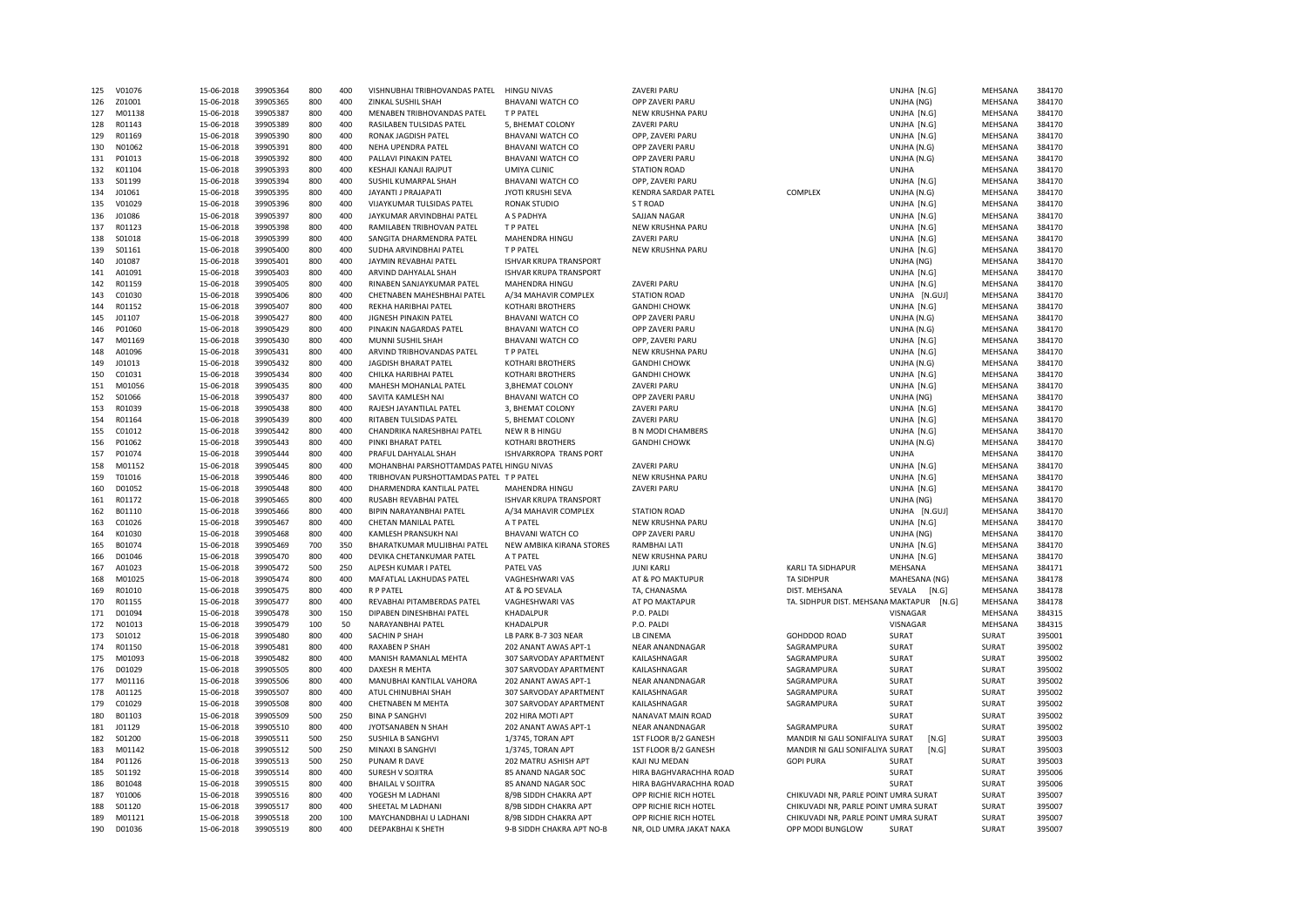| 125        | V01076           | 15-06-2018               | 39905364             | 800        | 400        | VISHNUBHAI TRIBHOVANDAS PATEL                | <b>HINGU NIVAS</b>                                 | <b>ZAVERI PARL</b>                               |                                                          | UNJHA [N.G]     | MEHSANA        | 384170           |
|------------|------------------|--------------------------|----------------------|------------|------------|----------------------------------------------|----------------------------------------------------|--------------------------------------------------|----------------------------------------------------------|-----------------|----------------|------------------|
| 126        | Z01001           | 15-06-2018               | 39905365             | 800        | 400        | ZINKAL SUSHIL SHAH                           | <b>BHAVANI WATCH CO</b>                            | OPP ZAVERI PARU                                  |                                                          | UNJHA (NG)      | MEHSANA        | 384170           |
| 127        | M01138           | 15-06-2018               | 39905387             | 800        | 400        | MENABEN TRIBHOVANDAS PATEL                   | T P PATEL                                          | NEW KRUSHNA PARU                                 |                                                          | UNJHA [N.G]     | MEHSANA        | 384170           |
| 128        | R01143           | 15-06-2018               | 39905389             | 800        | 400        | RASILABEN TULSIDAS PATEL                     | 5, BHEMAT COLONY                                   | ZAVERI PARU                                      |                                                          | UNJHA [N.G]     | MEHSANA        | 384170           |
| 129        | R01169           | 15-06-2018               | 39905390             | 800        | 400        | RONAK JAGDISH PATEL                          | <b>BHAVANI WATCH CO</b>                            | OPP, ZAVERI PARU                                 |                                                          | UNJHA [N.G]     | MEHSANA        | 384170           |
| 130        | N01062           | 15-06-2018               | 39905391             | 800        | 400        | NEHA UPENDRA PATEL                           | <b>BHAVANI WATCH CO</b>                            | OPP ZAVERI PARU                                  |                                                          | UNJHA (N.G)     | MEHSANA        | 384170           |
| 131        | P01013           | 15-06-2018               | 39905392             | 800        | 400        | PALLAVI PINAKIN PATEL                        | <b>BHAVANI WATCH CO</b>                            | OPP ZAVERI PARU                                  |                                                          | UNJHA (N.G)     | MEHSANA        | 384170           |
| 132        | K01104           |                          | 39905393             | 800        | 400        | KESHAJI KANAJI RAJPUT                        | UMIYA CLINIC                                       | <b>STATION ROAD</b>                              |                                                          | UNJHA           |                | 384170           |
| 133        |                  | 15-06-2018               |                      | 800        | 400        |                                              |                                                    |                                                  |                                                          |                 | MEHSANA        |                  |
|            | S01199           | 15-06-2018               | 39905394             |            |            | SUSHIL KUMARPAL SHAH                         | <b>BHAVANI WATCH CO</b>                            | OPP, ZAVERI PARU                                 |                                                          | UNJHA [N.G]     | MEHSANA        | 384170           |
| 134        | J01061           | 15-06-2018               | 39905395             | 800        | 400        | JAYANTI J PRAJAPATI                          | <b>JYOTI KRUSHI SEVA</b>                           | <b>KENDRA SARDAR PATEL</b>                       | COMPLEX                                                  | UNJHA (N.G)     | MEHSANA        | 384170           |
| 135        | V01029           | 15-06-2018               | 39905396             | 800        | 400        | VIJAYKUMAR TULSIDAS PATEL                    | <b>RONAK STUDIO</b>                                | ST ROAD                                          |                                                          | UNJHA [N.G]     | MEHSANA        | 384170           |
| 136        | J01086           | 15-06-2018               | 39905397             | 800        | 400        | JAYKUMAR ARVINDBHAI PATEL                    | A S PADHYA                                         | <b>SAJJAN NAGAR</b>                              |                                                          | UNJHA [N.G]     | MEHSANA        | 384170           |
| 137        | R01123           | 15-06-2018               | 39905398             | 800        | 400        | RAMILABEN TRIBHOVAN PATEL                    | T P PATEL                                          | NEW KRUSHNA PARU                                 |                                                          | UNJHA [N.G]     | MEHSANA        | 384170           |
| 138        | S01018           | 15-06-2018               | 39905399             | 800        | 400        | SANGITA DHARMENDRA PATEL                     | MAHENDRA HINGU                                     | ZAVERI PARU                                      |                                                          | UNJHA [N.G]     | MEHSANA        | 384170           |
| 139        | S01161           | 15-06-2018               | 39905400             | 800        | 400        | SUDHA ARVINDBHAI PATEL                       | T P PATFL                                          | NEW KRUSHNA PARU                                 |                                                          | UNJHA [N.G]     | MEHSANA        | 384170           |
| 140        | J01087           | 15-06-2018               | 39905401             | 800        | 400        | JAYMIN REVABHAI PATEL                        | <b>ISHVAR KRUPA TRANSPORT</b>                      |                                                  |                                                          | UNJHA (NG)      | MEHSANA        | 384170           |
| 141        | A01091           | 15-06-2018               | 39905403             | 800        | 400        | ARVIND DAHYALAL SHAH                         | <b>ISHVAR KRUPA TRANSPORT</b>                      |                                                  |                                                          | UNJHA [N.G]     | MEHSANA        | 384170           |
| 142        | R01159           | 15-06-2018               | 39905405             | 800        | 400        | RINABEN SANJAYKUMAR PATEL                    | MAHENDRA HINGU                                     | ZAVERI PARU                                      |                                                          | UNJHA [N.G]     | MEHSANA        | 384170           |
| 143        | C01030           | 15-06-2018               | 39905406             | 800        | 400        | CHETNABEN MAHESHBHAI PATEL                   | A/34 MAHAVIR COMPLEX                               | <b>STATION ROAD</b>                              |                                                          | UNJHA [N.GUJ]   | MEHSANA        | 384170           |
| 144        | R01152           | 15-06-2018               | 39905407             | 800        | 400        | REKHA HARIBHAI PATEL                         | <b>KOTHARI BROTHERS</b>                            | <b>GANDHI CHOWK</b>                              |                                                          | UNJHA [N.G]     | MEHSANA        | 384170           |
|            |                  |                          |                      |            | 400        |                                              |                                                    |                                                  |                                                          |                 |                |                  |
| 145        | J01107           | 15-06-2018               | 39905427             | 800        |            | JIGNESH PINAKIN PATEL                        | <b>BHAVANI WATCH CO</b>                            | OPP ZAVERI PARU                                  |                                                          | UNJHA (N.G)     | MEHSANA        | 384170           |
| 146        | P01060           | 15-06-2018               | 39905429             | 800        | 400        | PINAKIN NAGARDAS PATEL                       | <b>BHAVANI WATCH CO</b>                            | OPP ZAVERI PARU                                  |                                                          | UNJHA (N.G)     | MEHSANA        | 384170           |
| 147        | M01169           | 15-06-2018               | 39905430             | 800        | 400        | MUNNI SUSHIL SHAH                            | <b>BHAVANI WATCH CO</b>                            | OPP, ZAVERI PARU                                 |                                                          | UNJHA [N.G]     | MEHSANA        | 384170           |
| 148        | A01096           | 15-06-2018               | 39905431             | 800        | 400        | ARVIND TRIBHOVANDAS PATEL                    | T P PATEL                                          | NEW KRUSHNA PARU                                 |                                                          | UNJHA [N.G]     | MEHSANA        | 384170           |
| 149        | J01013           | 15-06-2018               | 39905432             | 800        | 400        | JAGDISH BHARAT PATEL                         | <b>KOTHARI BROTHERS</b>                            | <b>GANDHI CHOWK</b>                              |                                                          | UNJHA (N.G)     | MEHSANA        | 384170           |
| 150        | C01031           | 15-06-2018               | 39905434             | 800        | 400        | CHILKA HARIBHAI PATEL                        | KOTHARI BROTHERS                                   | <b>GANDHI CHOWK</b>                              |                                                          | UNJHA [N.G]     | MEHSANA        | 384170           |
| 151        | M01056           | 15-06-2018               | 39905435             | 800        | 400        | MAHESH MOHANLAL PATEL                        | 3.BHEMAT COLONY                                    | <b>ZAVERI PARU</b>                               |                                                          | UNJHA [N.G]     | MEHSANA        | 384170           |
| 152        | S01066           | 15-06-2018               | 39905437             | 800        | 400        | SAVITA KAMLESH NAI                           | <b>BHAVANI WATCH CO</b>                            | OPP ZAVERI PARU                                  |                                                          | UNJHA (NG)      | MEHSANA        | 384170           |
| 153        | R01039           | 15-06-2018               | 39905438             | 800        | 400        | RAJESH JAYANTILAL PATEL                      | 3, BHEMAT COLONY                                   | ZAVERI PARU                                      |                                                          | UNJHA [N.G]     | MEHSANA        | 384170           |
| 154        | R01164           | 15-06-2018               | 39905439             | 800        | 400        | RITABEN TULSIDAS PATEL                       | 5, BHEMAT COLONY                                   | ZAVERI PARU                                      |                                                          | UNJHA [N.G]     | MEHSANA        | 384170           |
| 155        | C01012           | 15-06-2018               | 39905442             | 800        | 400        | CHANDRIKA NARESHBHAI PATEL                   | NEW R B HINGU                                      | <b>B N MODI CHAMBERS</b>                         |                                                          | UNJHA [N.G]     | MEHSANA        | 384170           |
| 156        | P01062           | 15-06-2018               | 39905443             | 800        | 400        | PINKI BHARAT PATEL                           | <b>KOTHARI BROTHERS</b>                            | <b>GANDHI CHOWK</b>                              |                                                          | UNJHA (N.G)     | MEHSANA        | 384170           |
| 157        | P01074           | 15-06-2018               | 39905444             | 800        | 400        | PRAFUL DAHYALAL SHAH                         | ISHVARKROPA TRANS PORT                             |                                                  |                                                          | UNJHA           | MEHSANA        | 384170           |
|            |                  |                          |                      |            |            |                                              |                                                    |                                                  |                                                          |                 |                |                  |
| 158        | M01152           | 15-06-2018               | 39905445             | 800        | 400        | MOHANBHAI PARSHOTTAMDAS PATEL HINGU NIVAS    |                                                    | ZAVERI PARU                                      |                                                          | UNJHA [N.G]     | MEHSANA        | 384170           |
| 159        | T01016           | 15-06-2018               | 39905446             | 800        | 400        | TRIBHOVAN PURSHOTTAMDAS PATEL                | T P PATEL                                          | NEW KRUSHNA PARU                                 |                                                          | UNJHA [N.G]     | MEHSANA        | 384170           |
| 160        | D01052           | 15-06-2018               | 39905448             | 800        | 400        | DHARMENDRA KANTILAL PATEL                    | MAHENDRA HINGU                                     | ZAVERI PARU                                      |                                                          | UNJHA [N.G]     | MEHSANA        | 384170           |
| 161        | R01172           | 15-06-2018               | 39905465             | 800        | 400        | RUSABH REVABHAI PATEL                        | <b>ISHVAR KRUPA TRANSPORT</b>                      |                                                  |                                                          | UNJHA (NG)      | MEHSANA        | 384170           |
| 162        | B01110           | 15-06-2018               | 39905466             | 800        | 400        | BIPIN NARAYANBHAI PATEL                      | A/34 MAHAVIR COMPLEX                               | <b>STATION ROAD</b>                              |                                                          | UNJHA [N.GUJ]   | MEHSANA        | 384170           |
| 163        | C01026           | 15-06-2018               | 39905467             | 800        | 400        | CHETAN MANILAL PATEL                         | A T PATEL                                          | NEW KRUSHNA PARU                                 |                                                          | UNJHA [N.G]     | MEHSANA        | 384170           |
| 164        | K01030           | 15-06-2018               | 39905468             | 800        | 400        | KAMLESH PRANSUKH NAI                         | <b>BHAVANI WATCH CO</b>                            | OPP ZAVERI PARU                                  |                                                          | UNJHA (NG)      | MEHSANA        | 384170           |
| 165        | B01074           | 15-06-2018               | 39905469             | 700        | 350        | BHARATKUMAR MULJIBHAI PATEL                  | NEW AMBIKA KIRANA STORES                           | RAMBHAI LATI                                     |                                                          | UNJHA [N.G]     | MEHSANA        | 384170           |
| 166        | D01046           | 15-06-2018               | 39905470             | 800        | 400        | DEVIKA CHETANKUMAR PATEL                     | A T PATEL                                          | NEW KRUSHNA PARU                                 |                                                          | UNJHA [N.G]     | MEHSANA        | 384170           |
| 167        | A01023           | 15-06-2018               | 39905472             | 500        | 250        | ALPESH KUMAR I PATEL                         | <b>PATEL VAS</b>                                   | <b>JUNI KARLI</b>                                | KARLI TA SIDHAPUR                                        | MEHSANA         | MEHSANA        | 384171           |
| 168        | M01025           | 15-06-2018               | 39905474             | 800        | 400        | MAFATLAL LAKHUDAS PATEL                      | VAGHESHWARI VAS                                    | AT & PO MAKTUPUR                                 | <b>TA SIDHPUR</b>                                        | MAHESANA (NG)   | MEHSANA        | 384178           |
| 169        | R01010           | 15-06-2018               | 39905475             | 800        | 400        | <b>RP PATEL</b>                              | AT & PO SEVALA                                     | TA, CHANASMA                                     | DIST. MEHSANA                                            | SEVALA<br>[N.G] | MEHSANA        | 384178           |
| 170        | R01155           | 15-06-2018               | 39905477             | 800        | 400        | REVABHAI PITAMBERDAS PATEL                   | VAGHESHWARI VAS                                    | AT PO MAKTAPUR                                   | TA. SIDHPUR DIST. MEHSANA MAKTAPUR [N.G]                 |                 | MEHSANA        | 384178           |
| 171        | D01094           | 15-06-2018               | 39905478             | 300        | 150        | DIPABEN DINESHBHAI PATEL                     | KHADALPUR                                          | P.O. PALDI                                       |                                                          | VISNAGAR        | MEHSANA        | 384315           |
| 172        | N01013           | 15-06-2018               | 39905479             | 100        | 50         | NARAYANBHAI PATEL                            | KHADALPUR                                          | P.O. PALDI                                       |                                                          | VISNAGAR        | MEHSANA        | 384315           |
|            |                  |                          |                      |            | 400        |                                              |                                                    |                                                  |                                                          |                 |                |                  |
| 173        | S01012           | 15-06-2018               | 39905480             | 800        |            | <b>SACHIN P SHAH</b>                         | LB PARK B-7 303 NEAR                               | LB CINEMA                                        | <b>GOHDDOD ROAD</b>                                      | SURAT           | SURAT          | 395001           |
| 174        | R01150           | 15-06-2018               | 39905481             | 800        | 400        | <b>RAXABEN P SHAH</b>                        | 202 ANANT AWAS APT-1                               | NEAR ANANDNAGAR                                  | SAGRAMPURA                                               | SURAT           | <b>SURAT</b>   | 395002           |
| 175        | M01093           | 15-06-2018               | 39905482             | 800        | 400        | MANISH RAMANLAL MEHTA                        | 307 SARVODAY APARTMENT                             | KAILASHNAGAR                                     | SAGRAMPURA                                               | SURAT           | SURAT          | 395002           |
| 176        | D01029           | 15-06-2018               | 39905505             | 800        | 400        | DAXESH R MEHTA                               | 307 SARVODAY APARTMENT                             | KAILASHNAGAR                                     | SAGRAMPURA                                               | <b>SURAT</b>    | SURAT          | 395002           |
| 177        | M01116           | 15-06-2018               | 39905506             | 800        | 400        | MANUBHAI KANTILAL VAHORA                     | 202 ANANT AWAS APT-1                               | NEAR ANANDNAGAR                                  | SAGRAMPURA                                               | <b>SURAT</b>    | SURAT          | 395002           |
| 178        | A01125           | 15-06-2018               | 39905507             | 800        | 400        | ATUL CHINUBHAI SHAH                          | 307 SARVODAY APARTMENT                             | KAILASHNAGAR                                     | SAGRAMPURA                                               | SURAT           | SURAT          | 395002           |
| 179        | C01029           | 15-06-2018               | 39905508             | 800        | 400        | <b>CHETNABEN M MEHTA</b>                     | 307 SARVODAY APARTMENT                             | KAILASHNAGAR                                     | SAGRAMPURA                                               | <b>SURAT</b>    | SURAT          | 395002           |
| 180        | B01103           | 15-06-2018               | 39905509             | 500        | 250        | <b>BINA P SANGHVI</b>                        | 202 HIRA MOTI APT                                  | NANAVAT MAIN ROAD                                |                                                          | SURAT           | SURAT          | 395002           |
| 181        | J01129           | 15-06-2018               | 39905510             | 800        | 400        | JYOTSANABEN N SHAH                           | 202 ANANT AWAS APT-1                               | NEAR ANANDNAGAR                                  | SAGRAMPURA                                               | SURAT           | SURAT          | 395002           |
| 182        |                  | 15-06-2018               | 39905511             | 500        | 250        | SUSHILA B SANGHVI                            | 1/3745, TORAN APT                                  | 1ST FLOOR B/2 GANESH                             | MANDIR NI GALI SONIFALIYA SURAT                          | [N.G]           | SURAT          | 395003           |
|            |                  |                          |                      |            |            | MINAXI B SANGHVI                             | 1/3745, TORAN APT                                  | 1ST FLOOR B/2 GANESH                             | MANDIR NI GALI SONIFALIYA SURAT                          | [N.G]           | SURAT          | 395003           |
|            | S01200           |                          |                      |            |            |                                              |                                                    |                                                  |                                                          |                 |                |                  |
| 183        | M01142           | 15-06-2018               | 39905512             | 500        | 250        |                                              |                                                    |                                                  |                                                          |                 |                |                  |
| 184        | P01126           | 15-06-2018               | 39905513             | 500        | 250        | PUNAM R DAVE                                 | 202 MATRU ASHISH APT                               | KAJI NU MEDAN                                    | <b>GOPI PURA</b>                                         | SURAT           | SURAT          | 395003           |
| 185        | S01192           | 15-06-2018               | 39905514             | 800        | 400        | SURESH V SOJITRA                             | 85 ANAND NAGAR SOC                                 | HIRA BAGHVARACHHA ROAD                           |                                                          | SURAT           | SURAT          | 395006           |
| 186        | B01048           | 15-06-2018               | 39905515             | 800        | 400        | <b>BHAILAL V SOJITRA</b>                     | 85 ANAND NAGAR SOC                                 | HIRA BAGHVARACHHA ROAD                           |                                                          | SURAT           | SURAT          | 395006           |
| 187        | Y01006           | 15-06-2018               | 39905516             | 800        | 400        | YOGESH M LADHANI                             | 8/9B SIDDH CHAKRA APT                              | OPP RICHIE RICH HOTEL                            | CHIKUVADI NR, PARLE POINT UMRA SURAT                     |                 | SURAT          | 395007           |
| 188        | S01120           | 15-06-2018               | 39905517             | 800        | 400        | SHEETAL M LADHANI                            | 8/9B SIDDH CHAKRA APT                              | OPP RICHIE RICH HOTEL                            | CHIKUVADI NR, PARLE POINT UMRA SURAT                     |                 | SURAT          | 395007           |
| 189<br>190 | M01121<br>D01036 | 15-06-2018<br>15-06-2018 | 39905518<br>39905519 | 200<br>800 | 100<br>400 | MAYCHANDBHAI U LADHANI<br>DEEPAKBHAI K SHETH | 8/9B SIDDH CHAKRA APT<br>9-B SIDDH CHAKRA APT NO-B | OPP RICHIE RICH HOTEL<br>NR, OLD UMRA JAKAT NAKA | CHIKUVADI NR, PARLE POINT UMRA SURAT<br>OPP MODI BUNGLOW | SURAT           | SURAT<br>SURAT | 395007<br>395007 |